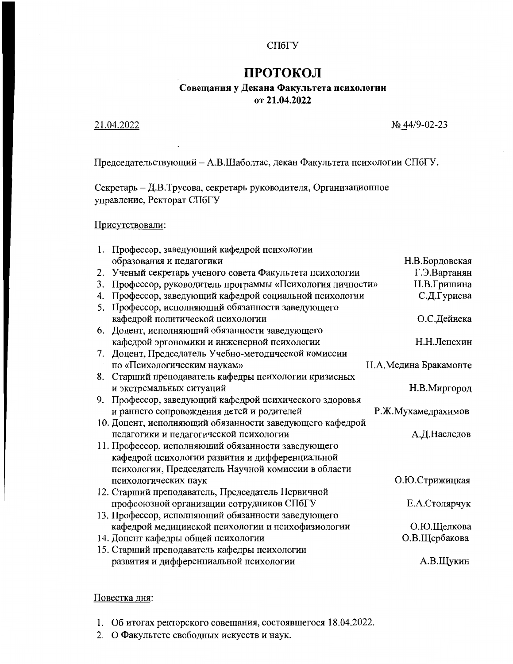### СПбГУ

# ПРОТОКОЛ

# Совещания у Декана Факультета психологии от 21.04.2022

## 21.04.2022

#### No 44/9-02-23

Председательствующий - А.В.Шаболтас, декан Факультета психологии СПбГУ.

Секретарь - Д.В.Трусова, секретарь руководителя, Организационное управление, Ректорат СПбГУ

# Присутствовали:

| 1. | Профессор, заведующий кафедрой психологии                |                       |
|----|----------------------------------------------------------|-----------------------|
|    | образования и педагогики                                 | Н.В.Бордовская        |
| 2. | Ученый секретарь ученого совета Факультета психологии    | Г.Э.Вартанян          |
| 3. | Профессор, руководитель программы «Психология личности»  | Н.В.Гришина           |
| 4. | Профессор, заведующий кафедрой социальной психологии     | С.Д.Гуриева           |
| 5. | Профессор, исполняющий обязанности заведующего           |                       |
|    | кафедрой политической психологии                         | О.С.Дейнека           |
| 6. | Доцент, исполняющий обязанности заведующего              |                       |
|    | кафедрой эргономики и инженерной психологии              | Н.Н.Лепехин           |
| 7. | Доцент, Председатель Учебно-методической комиссии        |                       |
|    | по «Психологическим наукам»                              | Н.А.Медина Бракамонте |
| 8. | Старший преподаватель кафедры психологии кризисных       |                       |
|    | и экстремальных ситуаций                                 | Н.В.Миргород          |
| 9. | Профессор, заведующий кафедрой психического здоровья     |                       |
|    | и раннего сопровождения детей и родителей                | Р.Ж.Мухамедрахимов    |
|    | 10. Доцент, исполняющий обязанности заведующего кафедрой |                       |
|    | педагогики и педагогической психологии                   | А.Д.Наследов          |
|    | 11. Профессор, исполняющий обязанности заведующего       |                       |
|    | кафедрой психологии развития и дифференциальной          |                       |
|    | психологии, Председатель Научной комиссии в области      |                       |
|    | психологических наук                                     | О.Ю.Стрижицкая        |
|    | 12. Старший преподаватель, Председатель Первичной        |                       |
|    | профсоюзной организации сотрудников СПбГУ                | Е.А.Столярчук         |
|    | 13. Профессор, исполняющий обязанности заведующего       |                       |
|    | кафедрой медицинской психологии и психофизиологии        | О.Ю.Щелкова           |
|    | 14. Доцент кафедры общей психологии                      | О.В.Щербакова         |
|    | 15. Старший преподаватель кафедры психологии             |                       |
|    | развития и дифференциальной психологии                   | А.В.Щукин             |

# Повестка дня:

1. Об итогах ректорского совещания, состоявшегося 18.04.2022.

2. О Факультете свободных искусств и наук.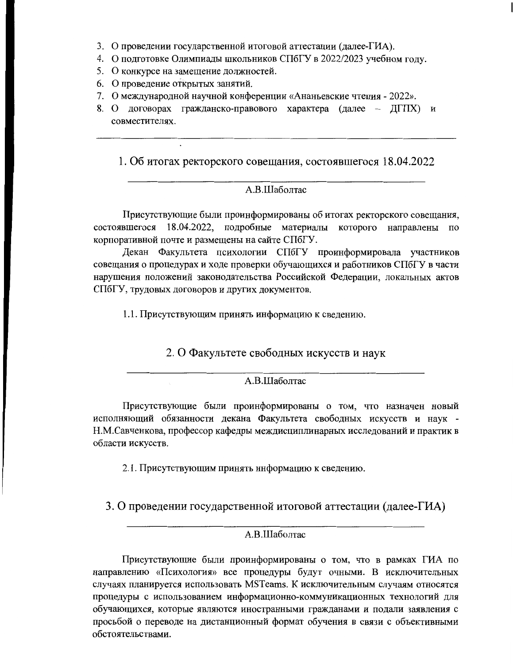- 3. О проведении государственной итоговой аттестации (далее-ГИА).
- 4. О подготовке Олимпиады школьников СПбГУ в 2022/2023 учебном году.
- 5. О конкурсе на замещение должностей.
- 6. О проведение открытых занятий.
- 7. О международной научной конференции «Ананьевские чтения 2022».
- 8. О договорах гражданско-правового характера (далее ДГПХ) и совместителях.

1. Об итогах ректорского совещания, состоявшегося 18.04.2022

## А.В.Шаболтас

Присутствующие были проинформированы об итогах ректорского совещания, состоявшегося 18.04.2022, подробные материалы которого направлены по корпоративной почте и размещены на сайте СПбГУ.

Декан Факультета психологии СПбГУ проинформировала участников совещания о процедурах и ходе проверки обучающихся и работников СПбГУ в части нарушения положений законодательства Российской Федерации, локальных актов СПбГУ, трудовых договоров и других документов.

1.1. Присутствующим принять информацию к сведению.

2. О Факультете свободных искусств и наук

### А.В.Шаболтас

Присутствующие были проинформированы о том, что назначен новый исполняющий обязанности декана Факультета свободных искусств и наук -Н.М.Савченкова, профессор кафедры междисциплинарных исследований и практик в области искусств.

2.1. Присутствующим принять информацию к сведению.

3. О проведении государственной итоговой аттестации (далее-ГИА)

# А.В.Шаболтас

Присутствующие были проинформированы о том, что в рамках ГИА по направлению «Психология» все процедуры будут очными. В исключительных случаях планируется использовать MSTeams. К исключительным случаям относятся процедуры с использованием информационно-коммуникационных технологий для обучающихся, которые являются иностранными гражданами и подали заявления с просьбой о переводе на дистанционный формат обучения в связи с объективными обстоятельствами.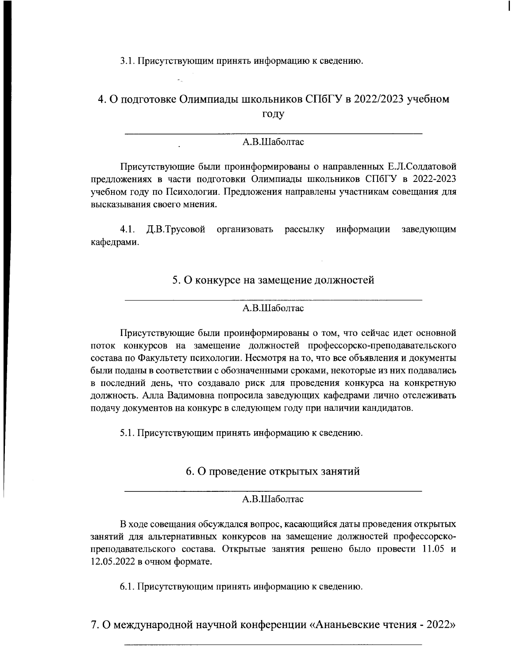3.1. Присутствующим принять информацию к сведению.

# 4. О подготовке Олимпиады школьников СПбГУ в 2022/2023 учебном году

# А.В.Шаболтас

Присутствующие были проинформированы о направленных Е.Л.Солдатовой предложениях в части подготовки Олимпиады школьников СПбГУ в 2022-2023 учебном году по Психологии. Предложения направлены участникам совещания для высказывания своего мнения.

 $4.1.$ Д.В.Трусовой организовать рассылку информации заведующим кафедрами.

# 5. О конкурсе на замещение должностей

#### А.В.Шаболтас

Присутствующие были проинформированы о том, что сейчас идет основной поток конкурсов на замещение должностей профессорско-преподавательского состава по Факультету психологии. Несмотря на то, что все объявления и документы были поданы в соответствии с обозначенными сроками, некоторые из них подавались в последний день, что создавало риск для проведения конкурса на конкретную должность. Алла Вадимовна попросила заведующих кафедрами лично отслеживать подачу документов на конкурс в следующем году при наличии кандидатов.

5.1. Присутствующим принять информацию к сведению.

6. О проведение открытых занятий

## A.B.IIIаболтас

В ходе совещания обсуждался вопрос, касающийся даты проведения открытых занятий для альтернативных конкурсов на замещение должностей профессорскопреподавательского состава. Открытые занятия решено было провести 11.05 и 12.05.2022 в очном формате.

6.1. Присутствующим принять информацию к сведению.

7. О международной научной конференции «Ананьевские чтения - 2022»